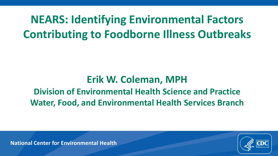# **NEARS: Identifying Environmental Factors Contributing to Foodborne Illness Outbreaks**

## **Erik W. Coleman, MPH**

### **Division of Environmental Health Science and Practice Water, Food, and Environmental Health Services Branch**

**National Center for Environmental Health**

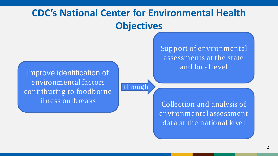# **CDC's National Center for Environmental Health Objectives**

through

assessments at the state and local level

Improve identification of environmental factors contributing to foodborne illness outbreaks

Collection and analysis of environmental assessment data at the national level

Support of environmental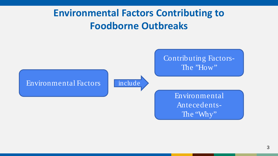## **Environmental Factors Contributing to Foodborne Outbreaks**

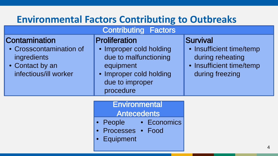# **Environmental Factors Contributing to Outbreaks**

#### Contributing Factors

#### **Proliferation**

**Contamination** 

ingredients

• Contact by an

• Crosscontamination of

infectious/ill worker

- Improper cold holding due to malfunctioning equipment
- Improper cold holding due to improper procedure

#### **Survival**

- Insufficient time/temp during reheating
- Insufficient time/temp during freezing

| <b>Environmental</b> |  |                    |
|----------------------|--|--------------------|
| <b>Antecedents</b>   |  |                    |
| • People             |  | • Economics        |
|                      |  |                    |
| • Equipment          |  |                    |
|                      |  | • Processes • Food |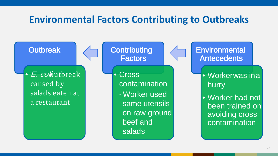## **Environmental Factors Contributing to Outbreaks**

**Outbreak** 

E. coloutbreak caused by salads eaten at a restaurant

**Contributing Factors** 

• Cross contamination - Worker used same utensils on raw ground beef and salads

**Environmental Antecedents** 

- Worker was in a hurry
- Worker had not been trained on avoiding cross contamination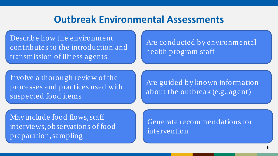#### **Outbreak Environmental Assessments**

Describe how the environment contributes to the introduction and transmission of illness agents

Are conducted by environmental health program staff

Involve a thorough review of the processes and practices used with suspected food items

Are guided by known information about the outbreak (e.g., agent)

May include food flows, staff interviews, observations of food preparation, sampling

Generate recommendations for intervention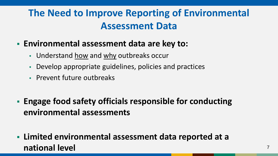# **The Need to Improve Reporting of Environmental Assessment Data**

- **Environmental assessment data are key to:**
	- Understand how and why outbreaks occur
	- Develop appropriate guidelines, policies and practices
	- Prevent future outbreaks
- **Engage food safety officials responsible for conducting environmental assessments**
- **Limited environmental assessment data reported at a national level** <sup>7</sup>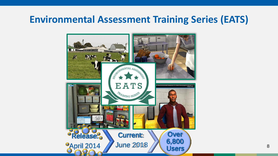## **Environmental Assessment Training Series (EATS)**

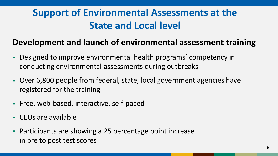# **Support of Environmental Assessments at the State and Local level**

#### **Development and launch of environmental assessment training**

- Designed to improve environmental health programs' competency in conducting environmental assessments during outbreaks
- Over 6,800 people from federal, state, local government agencies have registered for the training
- **Filter-Lines** Free, web-based, interactive, self-paced
- CEUs are available
- Participants are showing a 25 percentage point increase in pre to post test scores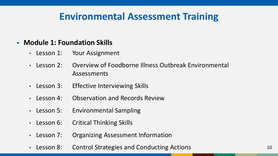## **Environmental Assessment Training**

#### **Module 1: Foundation Skills**

- Lesson 1: Your Assignment
- Lesson 2: Overview of Foodborne Illness Outbreak Environmental Assessments
- Lesson 3: Effective Interviewing Skills
- Lesson 4: Observation and Records Review
- Lesson 5: Environmental Sampling
- Lesson 6: Critical Thinking Skills
- Lesson 7: Organizing Assessment Information
- Lesson 8: Control Strategies and Conducting Actions 10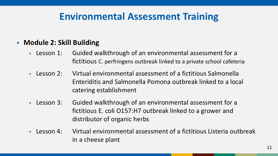## **Environmental Assessment Training**

#### **Module 2: Skill Building**

- Lesson 1: Guided walkthrough of an environmental assessment for a fictitious C. perfringens outbreak linked to a private school cafeteria
- Lesson 2: Virtual environmental assessment of a fictitious Salmonella Enteriditis and Salmonella Pomona outbreak linked to a local catering establishment
- Lesson 3: Guided walkthrough of an environmental assessment for a fictitious E. coli O157:H7 outbreak linked to a grower and distributor of organic herbs
- Lesson 4: Virtual environmental assessment of a fictitious Listeria outbreak in a cheese plant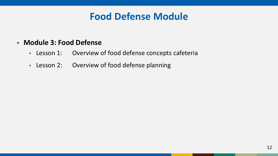### **Food Defense Module**

#### **Module 3: Food Defense**

- Lesson 1: Overview of food defense concepts cafeteria
- Lesson 2: Overview of food defense planning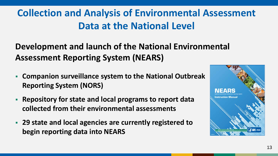# **Collection and Analysis of Environmental Assessment Data at the National Level**

**Development and launch of the National Environmental Assessment Reporting System (NEARS)**

- **Companion surveillance system to the National Outbreak Reporting System (NORS)**
- **Repository for state and local programs to report data collected from their environmental assessments**
- **29 state and local agencies are currently registered to begin reporting data into NEARS**

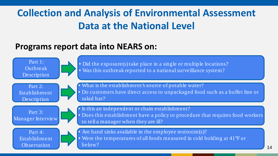# **Collection and Analysis of Environmental Assessment Data at the National Level**

#### **Programs report data into NEARS on:**

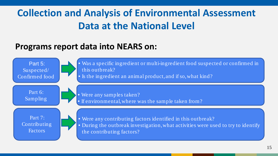# **Collection and Analysis of Environmental Assessment Data at the National Level**

#### **Programs report data into NEARS on:**

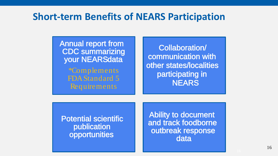#### **Short-term Benefits of NEARS Participation**

Annual report from CDC summarizing your NEARSdata

> \*Complements FDA Standard 5 Requirements

Collaboration/ communication with other states/localities participating in **NEARS** 

Potential scientific publication opportunities

Ability to document and track foodborne outbreak response data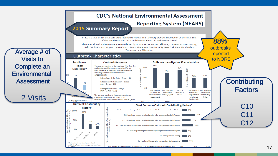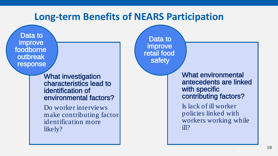#### **Long-term Benefits of NEARS Participation**

Data to improve foodborne outbreak response

> What investigation characteristics lead to identification of environmental factors?

Do worker interviews make contributing factor identification more likely?

Data to improve retail food safety

> What environmental antecedents are linked with specific contributing factors?

Is lack of ill worker policies linked with workers working while ill?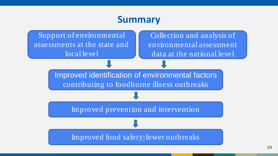#### **Summary**

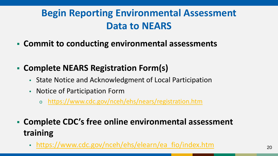# **Begin Reporting Environmental Assessment Data to NEARS**

- **Commit to conducting environmental assessments**
- **Complete NEARS Registration Form(s)**
	- State Notice and Acknowledgment of Local Participation
	- Notice of Participation Form
		- o <https://www.cdc.gov/nceh/ehs/nears/registration.htm>
- **Complete CDC's free online environmental assessment training**
	- [https://www.cdc.gov/nceh/ehs/elearn/ea\\_fio/index.htm](https://www.cdc.gov/nceh/ehs/elearn/ea_fio/index.htm) 20